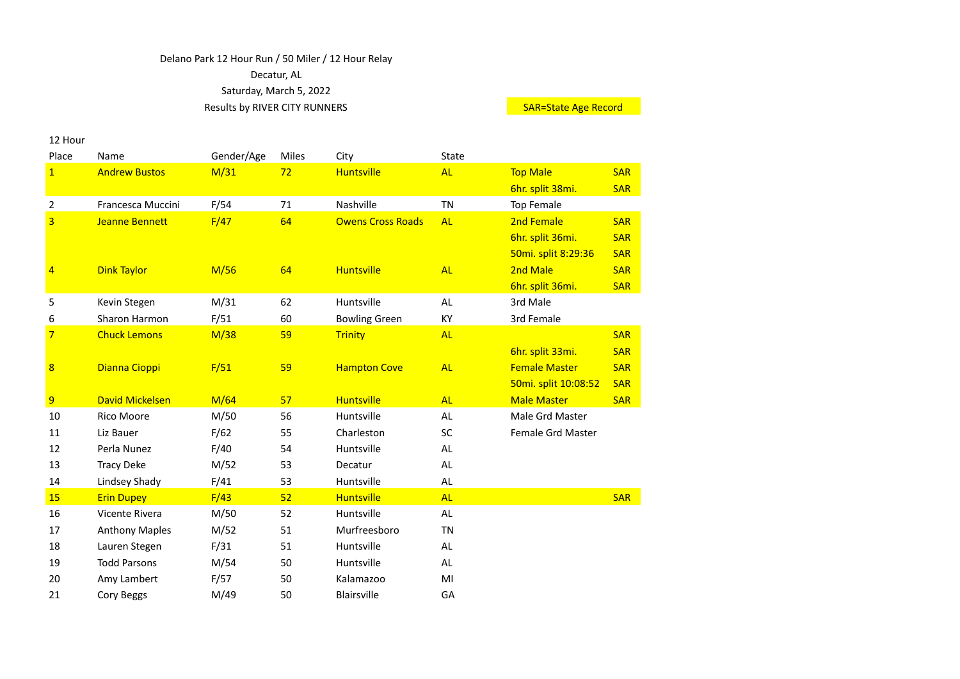## Delano Park 12 Hour Run / 50 Miler / 12 Hour Relay Decatur, AL Saturday, March 5, 2022 Results by RIVER CITY RUNNERS Notice and the SAR-State Age Record

12 Hour

| Place                   | Name                   | Gender/Age | Miles | City                     | State     |                      |            |
|-------------------------|------------------------|------------|-------|--------------------------|-----------|----------------------|------------|
| $\overline{1}$          | <b>Andrew Bustos</b>   | M/31       | 72    | <b>Huntsville</b>        | <b>AL</b> | <b>Top Male</b>      | <b>SAR</b> |
|                         |                        |            |       |                          |           | 6hr. split 38mi.     | <b>SAR</b> |
| $\overline{2}$          | Francesca Muccini      | F/54       | 71    | Nashville                | <b>TN</b> | <b>Top Female</b>    |            |
| 3                       | <b>Jeanne Bennett</b>  | F/47       | 64    | <b>Owens Cross Roads</b> | <b>AL</b> | 2nd Female           | <b>SAR</b> |
|                         |                        |            |       |                          |           | 6hr. split 36mi.     | <b>SAR</b> |
|                         |                        |            |       |                          |           | 50mi. split 8:29:36  | <b>SAR</b> |
| 4                       | <b>Dink Taylor</b>     | M/56       | 64    | <b>Huntsville</b>        | <b>AL</b> | 2nd Male             | <b>SAR</b> |
|                         |                        |            |       |                          |           | 6hr. split 36mi.     | <b>SAR</b> |
| 5                       | Kevin Stegen           | M/31       | 62    | Huntsville               | AL        | 3rd Male             |            |
| 6                       | Sharon Harmon          | F/51       | 60    | <b>Bowling Green</b>     | KY        | 3rd Female           |            |
| $\overline{7}$          | <b>Chuck Lemons</b>    | M/38       | 59    | <b>Trinity</b>           | <b>AL</b> |                      | <b>SAR</b> |
|                         |                        |            |       |                          |           | 6hr. split 33mi.     | <b>SAR</b> |
| $\overline{\mathbf{8}}$ | Dianna Cioppi          | F/51       | 59    | <b>Hampton Cove</b>      | <b>AL</b> | <b>Female Master</b> | <b>SAR</b> |
|                         |                        |            |       |                          |           | 50mi. split 10:08:52 | <b>SAR</b> |
| 9                       | <b>David Mickelsen</b> | M/64       | 57    | <b>Huntsville</b>        | <b>AL</b> | <b>Male Master</b>   | <b>SAR</b> |
| 10                      | <b>Rico Moore</b>      | M/50       | 56    | Huntsville               | AL.       | Male Grd Master      |            |
| 11                      | Liz Bauer              | F/62       | 55    | Charleston               | SC        | Female Grd Master    |            |
| 12                      | Perla Nunez            | F/40       | 54    | Huntsville               | AL.       |                      |            |
| 13                      | <b>Tracy Deke</b>      | M/52       | 53    | Decatur                  | AL.       |                      |            |
| 14                      | Lindsey Shady          | F/41       | 53    | Huntsville               | AL        |                      |            |
| 15                      | <b>Erin Dupey</b>      | F/43       | 52    | <b>Huntsville</b>        | <b>AL</b> |                      | <b>SAR</b> |
| 16                      | Vicente Rivera         | M/50       | 52    | Huntsville               | AL.       |                      |            |
| 17                      | <b>Anthony Maples</b>  | M/52       | 51    | Murfreesboro             | <b>TN</b> |                      |            |
| 18                      | Lauren Stegen          | F/31       | 51    | Huntsville               | AL        |                      |            |
| 19                      | <b>Todd Parsons</b>    | M/54       | 50    | Huntsville               | AL        |                      |            |
| 20                      | Amy Lambert            | F/57       | 50    | Kalamazoo                | MI        |                      |            |
| 21                      | Cory Beggs             | M/49       | 50    | <b>Blairsville</b>       | GA        |                      |            |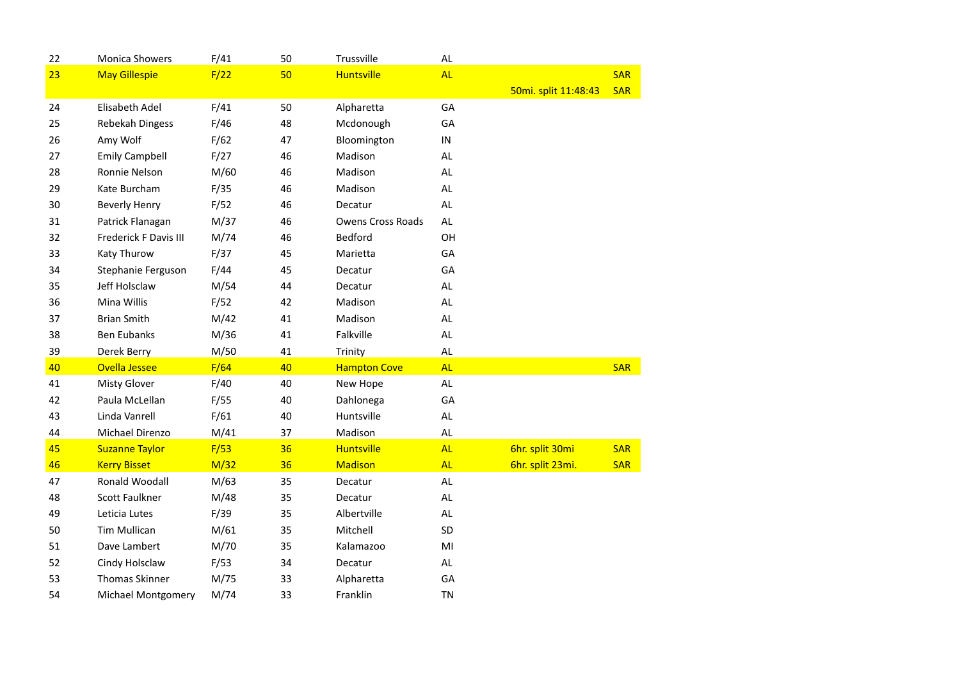| 22 | <b>Monica Showers</b> | F/41 | 50 | Trussville               | $\mathsf{AL}$  |                      |            |
|----|-----------------------|------|----|--------------------------|----------------|----------------------|------------|
| 23 | <b>May Gillespie</b>  | F/22 | 50 | <b>Huntsville</b>        | <b>AL</b>      |                      | <b>SAR</b> |
|    |                       |      |    |                          |                | 50mi. split 11:48:43 | <b>SAR</b> |
| 24 | Elisabeth Adel        | F/41 | 50 | Alpharetta               | GA             |                      |            |
| 25 | Rebekah Dingess       | F/46 | 48 | Mcdonough                | GA             |                      |            |
| 26 | Amy Wolf              | F/62 | 47 | Bloomington              | ${\sf IN}$     |                      |            |
| 27 | <b>Emily Campbell</b> | F/27 | 46 | Madison                  | <b>AL</b>      |                      |            |
| 28 | Ronnie Nelson         | M/60 | 46 | Madison                  | AL             |                      |            |
| 29 | Kate Burcham          | F/35 | 46 | Madison                  | AL             |                      |            |
| 30 | <b>Beverly Henry</b>  | F/52 | 46 | Decatur                  | <b>AL</b>      |                      |            |
| 31 | Patrick Flanagan      | M/37 | 46 | <b>Owens Cross Roads</b> | AL.            |                      |            |
| 32 | Frederick F Davis III | M/74 | 46 | <b>Bedford</b>           | OH             |                      |            |
| 33 | Katy Thurow           | F/37 | 45 | Marietta                 | GA             |                      |            |
| 34 | Stephanie Ferguson    | F/44 | 45 | Decatur                  | GA             |                      |            |
| 35 | Jeff Holsclaw         | M/54 | 44 | Decatur                  | <b>AL</b>      |                      |            |
| 36 | Mina Willis           | F/52 | 42 | Madison                  | AL             |                      |            |
| 37 | <b>Brian Smith</b>    | M/42 | 41 | Madison                  | $\mathsf{AL}$  |                      |            |
| 38 | <b>Ben Eubanks</b>    | M/36 | 41 | Falkville                | AL.            |                      |            |
| 39 | Derek Berry           | M/50 | 41 | Trinity                  | AL.            |                      |            |
| 40 | <b>Ovella Jessee</b>  | F/64 | 40 | <b>Hampton Cove</b>      | <b>AL</b>      |                      | <b>SAR</b> |
| 41 | <b>Misty Glover</b>   | F/40 | 40 | New Hope                 | AL             |                      |            |
| 42 | Paula McLellan        | F/55 | 40 | Dahlonega                | GA             |                      |            |
| 43 | Linda Vanrell         | F/61 | 40 | Huntsville               | $\mathsf{AL}$  |                      |            |
| 44 | Michael Direnzo       | M/41 | 37 | Madison                  | AL             |                      |            |
| 45 | <b>Suzanne Taylor</b> | F/53 | 36 | <b>Huntsville</b>        | <b>AL</b>      | 6hr. split 30mi      | <b>SAR</b> |
| 46 | <b>Kerry Bisset</b>   | M/32 | 36 | <b>Madison</b>           | <b>AL</b>      | 6hr. split 23mi.     | <b>SAR</b> |
| 47 | Ronald Woodall        | M/63 | 35 | Decatur                  | AL.            |                      |            |
| 48 | <b>Scott Faulkner</b> | M/48 | 35 | Decatur                  | AL.            |                      |            |
| 49 | Leticia Lutes         | F/39 | 35 | Albertville              | AL             |                      |            |
| 50 | <b>Tim Mullican</b>   | M/61 | 35 | Mitchell                 | SD             |                      |            |
| 51 | Dave Lambert          | M/70 | 35 | Kalamazoo                | M <sub>l</sub> |                      |            |
| 52 | Cindy Holsclaw        | F/53 | 34 | Decatur                  | $\mathsf{AL}$  |                      |            |
| 53 | <b>Thomas Skinner</b> | M/75 | 33 | Alpharetta               | GA             |                      |            |
| 54 | Michael Montgomery    | M/74 | 33 | Franklin                 | <b>TN</b>      |                      |            |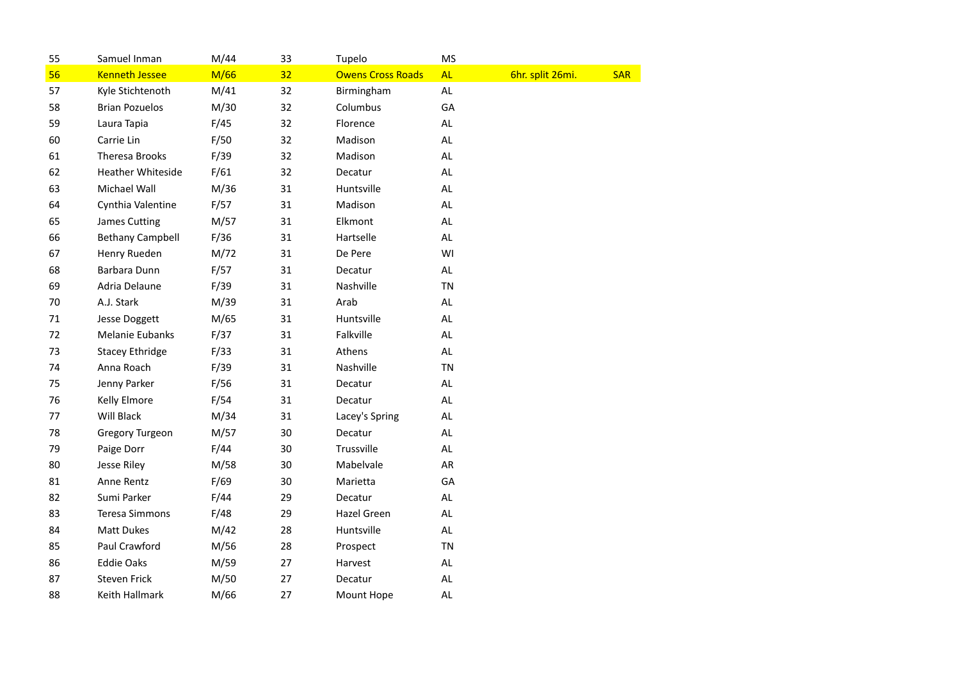| 55 | Samuel Inman             | M/44 | 33 | Tupelo                   | <b>MS</b>     |                  |            |
|----|--------------------------|------|----|--------------------------|---------------|------------------|------------|
| 56 | <b>Kenneth Jessee</b>    | M/66 | 32 | <b>Owens Cross Roads</b> | <b>AL</b>     | 6hr. split 26mi. | <b>SAR</b> |
| 57 | Kyle Stichtenoth         | M/41 | 32 | Birmingham               | $\mathsf{AL}$ |                  |            |
| 58 | <b>Brian Pozuelos</b>    | M/30 | 32 | Columbus                 | GA            |                  |            |
| 59 | Laura Tapia              | F/45 | 32 | Florence                 | <b>AL</b>     |                  |            |
| 60 | Carrie Lin               | F/50 | 32 | Madison                  | <b>AL</b>     |                  |            |
| 61 | <b>Theresa Brooks</b>    | F/39 | 32 | Madison                  | AL            |                  |            |
| 62 | <b>Heather Whiteside</b> | F/61 | 32 | Decatur                  | AL.           |                  |            |
| 63 | Michael Wall             | M/36 | 31 | Huntsville               | $\mathsf{AL}$ |                  |            |
| 64 | Cynthia Valentine        | F/57 | 31 | Madison                  | AL            |                  |            |
| 65 | <b>James Cutting</b>     | M/57 | 31 | Elkmont                  | <b>AL</b>     |                  |            |
| 66 | <b>Bethany Campbell</b>  | F/36 | 31 | Hartselle                | <b>AL</b>     |                  |            |
| 67 | Henry Rueden             | M/72 | 31 | De Pere                  | WI            |                  |            |
| 68 | Barbara Dunn             | F/57 | 31 | Decatur                  | <b>AL</b>     |                  |            |
| 69 | Adria Delaune            | F/39 | 31 | Nashville                | <b>TN</b>     |                  |            |
| 70 | A.J. Stark               | M/39 | 31 | Arab                     | AL.           |                  |            |
| 71 | <b>Jesse Doggett</b>     | M/65 | 31 | Huntsville               | <b>AL</b>     |                  |            |
| 72 | Melanie Eubanks          | F/37 | 31 | Falkville                | <b>AL</b>     |                  |            |
| 73 | <b>Stacey Ethridge</b>   | F/33 | 31 | Athens                   | <b>AL</b>     |                  |            |
| 74 | Anna Roach               | F/39 | 31 | Nashville                | <b>TN</b>     |                  |            |
| 75 | Jenny Parker             | F/56 | 31 | Decatur                  | <b>AL</b>     |                  |            |
| 76 | Kelly Elmore             | F/54 | 31 | Decatur                  | AL.           |                  |            |
| 77 | Will Black               | M/34 | 31 | Lacey's Spring           | AL.           |                  |            |
| 78 | Gregory Turgeon          | M/57 | 30 | Decatur                  | $\mathsf{AL}$ |                  |            |
| 79 | Paige Dorr               | F/44 | 30 | Trussville               | <b>AL</b>     |                  |            |
| 80 | Jesse Riley              | M/58 | 30 | Mabelvale                | AR            |                  |            |
| 81 | Anne Rentz               | F/69 | 30 | Marietta                 | GA            |                  |            |
| 82 | Sumi Parker              | F/44 | 29 | Decatur                  | <b>AL</b>     |                  |            |
| 83 | <b>Teresa Simmons</b>    | F/48 | 29 | Hazel Green              | AL.           |                  |            |
| 84 | <b>Matt Dukes</b>        | M/42 | 28 | Huntsville               | AL.           |                  |            |
| 85 | Paul Crawford            | M/56 | 28 | Prospect                 | <b>TN</b>     |                  |            |
| 86 | <b>Eddie Oaks</b>        | M/59 | 27 | Harvest                  | $\mathsf{AL}$ |                  |            |
| 87 | <b>Steven Frick</b>      | M/50 | 27 | Decatur                  | $\mathsf{AL}$ |                  |            |
| 88 | Keith Hallmark           | M/66 | 27 | Mount Hope               | $\mathsf{AL}$ |                  |            |
|    |                          |      |    |                          |               |                  |            |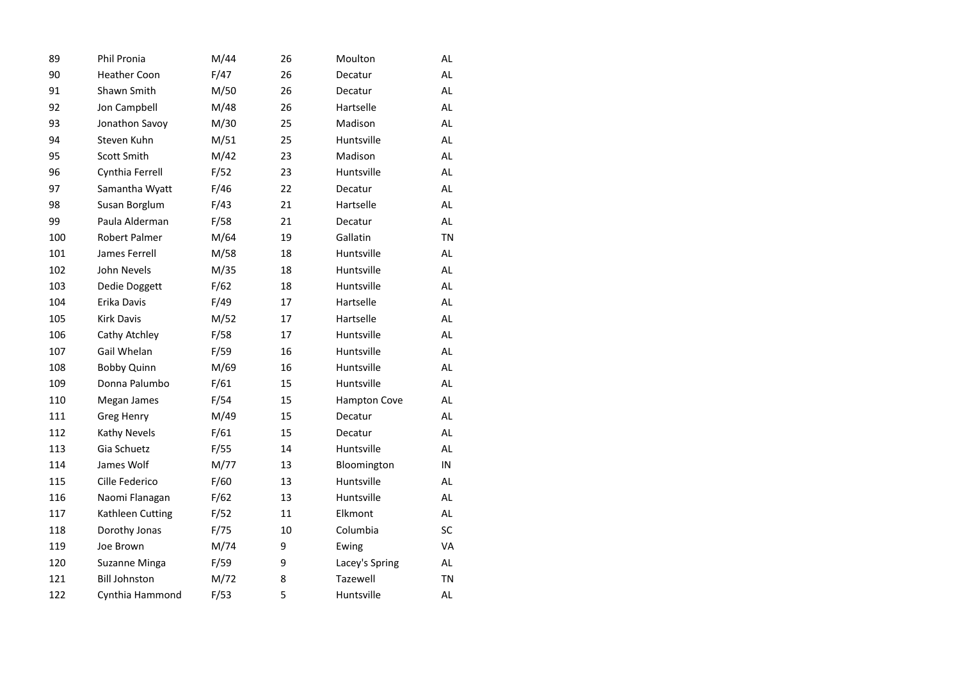| 89  | <b>Phil Pronia</b>   | M/44 | 26 | Moulton             | AL        |
|-----|----------------------|------|----|---------------------|-----------|
| 90  | <b>Heather Coon</b>  | F/47 | 26 | Decatur             | <b>AL</b> |
| 91  | Shawn Smith          | M/50 | 26 | Decatur             | <b>AL</b> |
| 92  | Jon Campbell         | M/48 | 26 | Hartselle           | <b>AL</b> |
| 93  | Jonathon Savoy       | M/30 | 25 | Madison             | AL        |
| 94  | Steven Kuhn          | M/51 | 25 | Huntsville          | <b>AL</b> |
| 95  | Scott Smith          | M/42 | 23 | Madison             | AL        |
| 96  | Cynthia Ferrell      | F/52 | 23 | Huntsville          | <b>AL</b> |
| 97  | Samantha Wyatt       | F/46 | 22 | Decatur             | AL        |
| 98  | Susan Borglum        | F/43 | 21 | Hartselle           | AL        |
| 99  | Paula Alderman       | F/58 | 21 | Decatur             | AL        |
| 100 | Robert Palmer        | M/64 | 19 | Gallatin            | <b>TN</b> |
| 101 | James Ferrell        | M/58 | 18 | Huntsville          | AL        |
| 102 | John Nevels          | M/35 | 18 | Huntsville          | AL        |
| 103 | Dedie Doggett        | F/62 | 18 | Huntsville          | AL        |
| 104 | Erika Davis          | F/49 | 17 | Hartselle           | AL        |
| 105 | <b>Kirk Davis</b>    | M/52 | 17 | Hartselle           | AL        |
| 106 | Cathy Atchley        | F/58 | 17 | Huntsville          | AL        |
| 107 | Gail Whelan          | F/59 | 16 | Huntsville          | AL        |
| 108 | <b>Bobby Quinn</b>   | M/69 | 16 | Huntsville          | <b>AL</b> |
| 109 | Donna Palumbo        | F/61 | 15 | Huntsville          | AL        |
| 110 | Megan James          | F/54 | 15 | <b>Hampton Cove</b> | AL.       |
| 111 | Greg Henry           | M/49 | 15 | Decatur             | <b>AL</b> |
| 112 | Kathy Nevels         | F/61 | 15 | Decatur             | AL        |
| 113 | Gia Schuetz          | F/55 | 14 | Huntsville          | <b>AL</b> |
| 114 | James Wolf           | M/77 | 13 | Bloomington         | IN        |
| 115 | Cille Federico       | F/60 | 13 | Huntsville          | <b>AL</b> |
| 116 | Naomi Flanagan       | F/62 | 13 | Huntsville          | AL        |
| 117 | Kathleen Cutting     | F/52 | 11 | Elkmont             | <b>AL</b> |
| 118 | Dorothy Jonas        | F/75 | 10 | Columbia            | SC        |
| 119 | Joe Brown            | M/74 | 9  | Ewing               | VA        |
| 120 | Suzanne Minga        | F/59 | 9  | Lacey's Spring      | AL        |
| 121 | <b>Bill Johnston</b> | M/72 | 8  | Tazewell            | <b>TN</b> |
| 122 | Cynthia Hammond      | F/53 | 5  | Huntsville          | AL        |